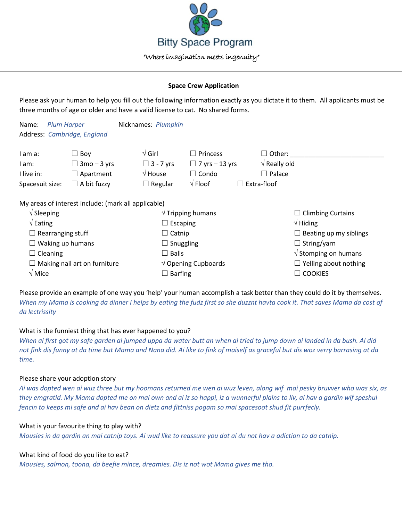

## **Space Crew Application**

Please ask your human to help you fill out the following information exactly as you dictate it to them. All applicants must be three months of age or older and have a valid license to cat. No shared forms.

| Name:                               | <b>Plum Harper</b>                                  | Nicknames: Plumpkin       |                              |                       |                                          |  |
|-------------------------------------|-----------------------------------------------------|---------------------------|------------------------------|-----------------------|------------------------------------------|--|
|                                     | Address: Cambridge, England                         |                           |                              |                       |                                          |  |
| I am a:                             | $\Box$ Boy                                          | $\sqrt{G}$ irl            | $\square$ Princess           | $\square$ Other:      |                                          |  |
| I am:                               | $\Box$ 3mo – 3 yrs                                  | $\Box$ 3 - 7 yrs          | $\Box$ 7 yrs – 13 yrs        | $\sqrt{ }$ Really old |                                          |  |
| I live in:                          | $\Box$ Apartment                                    | $\sqrt{}$ House           | $\Box$ Condo                 | $\Box$ Palace         |                                          |  |
| Spacesuit size:                     | $\Box$ A bit fuzzy                                  | $\Box$ Regular            | $\sqrt{}$ Floof              | $\Box$ Extra-floof    |                                          |  |
|                                     | My areas of interest include: (mark all applicable) |                           |                              |                       |                                          |  |
| $\sqrt{\phantom{a}}$ Sleeping       |                                                     | $\sqrt{}$ Tripping humans |                              |                       | $\Box$ Climbing Curtains                 |  |
| $\sqrt{\mathsf{Eating}}$            |                                                     | $\Box$ Escaping           |                              | $\sqrt{}$ Hiding      |                                          |  |
| $\Box$ Rearranging stuff            |                                                     | $\Box$ Catnip             |                              |                       | $\Box$ Beating up my siblings            |  |
| $\Box$ Waking up humans             |                                                     | $\Box$ Snuggling          |                              | $\Box$ String/yarn    |                                          |  |
| $\Box$ Cleaning                     |                                                     | $\Box$ Balls              |                              |                       | $\sqrt{\frac{1}{10}}$ Stomping on humans |  |
| $\Box$ Making nail art on furniture |                                                     |                           | $\sqrt{ }$ Opening Cupboards |                       | $\Box$ Yelling about nothing             |  |
| $\sqrt{M}$ Mice                     |                                                     | $\Box$ Barfing            |                              | <b>COOKIES</b>        |                                          |  |

Please provide an example of one way you 'help' your human accomplish a task better than they could do it by themselves. *When my Mama is cooking da dinner I helps by eating the fudz first so she duzznt havta cook it. That saves Mama da cost of da lectrissity*

# What is the funniest thing that has ever happened to you?

*When ai first got my safe garden ai jumped uppa da water butt an when ai tried to jump down ai landed in da bush. Ai did not fink dis funny at da time but Mama and Nana did. Ai like to fink of maiself as graceful but dis woz verry barrasing at da time.*

## Please share your adoption story

*Ai was dopted wen ai wuz three but my hoomans returned me wen ai wuz leven, along wif mai pesky bruvver who was six, as they emgratid. My Mama dopted me on mai own and ai iz so happi, iz a wunnerful plains to liv, ai hav a gardin wif speshul fencin to keeps mi safe and ai hav bean on dietz and fittniss pogam so mai spacesoot shud fit purrfecly.*

## What is your favourite thing to play with?

*Mousies in da gardin an mai catnip toys. Ai wud like to reassure you dat ai du not hav a adiction to da catnip.*

## What kind of food do you like to eat?

*Mousies, salmon, toona, da beefie mince, dreamies. Dis iz not wot Mama gives me tho.*